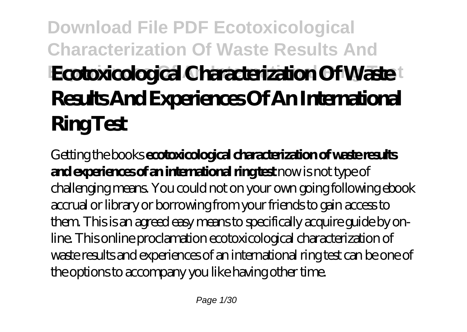# **Download File PDF Ecotoxicological Characterization Of Waste Results And Ecotoxicological Characterization Of Waste Results And Experiences Of An International Ring Test**

Getting the books **ecotoxicological characterization of waste results and experiences of an international ring test** now is not type of challenging means. You could not on your own going following ebook accrual or library or borrowing from your friends to gain access to them. This is an agreed easy means to specifically acquire guide by online. This online proclamation ecotoxicological characterization of waste results and experiences of an international ring test can be one of the options to accompany you like having other time.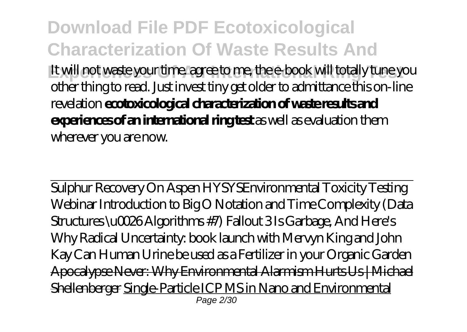**Download File PDF Ecotoxicological Characterization Of Waste Results And Experiences Of An International Ring Test** It will not waste your time. agree to me, the e-book will totally tune you other thing to read. Just invest tiny get older to admittance this on-line revelation **ecotoxicological characterization of waste results and experiences of an international ring test** as well as evaluation them wherever you are now.

Sulphur Recovery On Aspen HYSYS*Environmental Toxicity Testing Webinar Introduction to Big O Notation and Time Complexity (Data Structures \u0026 Algorithms #7) Fallout 3 Is Garbage, And Here's Why Radical Uncertainty: book launch with Mervyn King and John Kay Can Human Urine be used as a Fertilizer in your Organic Garden* Apocalypse Never: Why Environmental Alarmism Hurts Us | Michael Shellenberger Single-Particle ICP MS in Nano and Environmental Page 2/30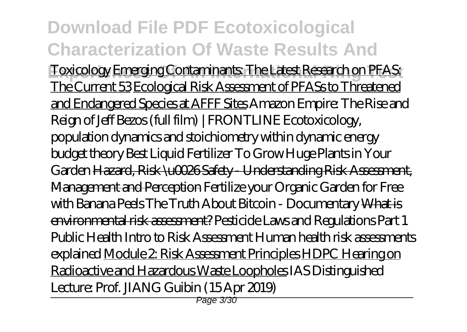#### **Download File PDF Ecotoxicological Characterization Of Waste Results And Experiences Of An International Ring Test** Toxicology Emerging Contaminants: The Latest Research on PFAS: The Current 53 Ecological Risk Assessment of PFASs to Threatened and Endangered Species at AFFF Sites *Amazon Empire: The Rise and Reign of Jeff Bezos (full film) | FRONTLINE* Ecotoxicology, population dynamics and stoichiometry within dynamic energy budget theory *Best Liquid Fertilizer To Grow Huge Plants in Your Garden* Hazard, Risk \u0026 Safety - Understanding Risk Assessment, Management and Perception Fertilize your Organic Garden for Free with Banana Peels *The Truth About Bitcoin - Documentary* What is environmental risk assessment? *Pesticide Laws and Regulations Part 1 Public Health Intro to Risk Assessment Human health risk assessments explained* Module 2: Risk Assessment Principles HDPC Hearing on Radioactive and Hazardous Waste Loopholes *IAS Distinguished*

*Lecture: Prof. JIANG Guibin (15 Apr 2019)*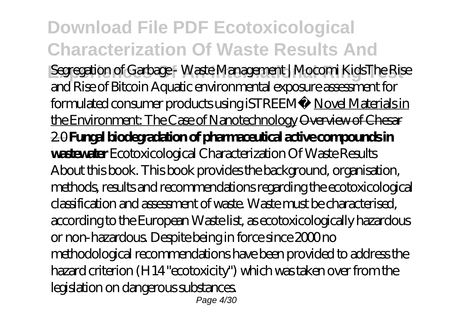**Download File PDF Ecotoxicological Characterization Of Waste Results And Experiences Of An International Ring Test** Segregation of Garbage - Waste Management | Mocomi Kids*The Rise and Rise of Bitcoin Aquatic environmental exposure assessment for formulated consumer products using iSTREEM®* Novel Materials in the Environment: The Case of Nanotechnology <del>Overview of Chesar</del> 2.0 **Fungal biodegradation of pharmaceutical active compounds in wastewater** *Ecotoxicological Characterization Of Waste Results* About this book. This book provides the background, organisation, methods, results and recommendations regarding the ecotoxicological classification and assessment of waste. Waste must be characterised, according to the European Waste list, as ecotoxicologically hazardous or non-hazardous. Despite being in force since 2000 no methodological recommendations have been provided to address the hazard criterion (H14 "ecotoxicity") which was taken over from the legislation on dangerous substances. Page 4/30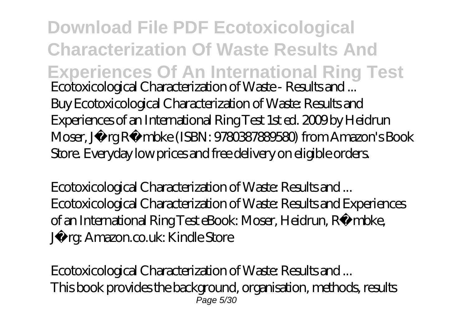**Download File PDF Ecotoxicological Characterization Of Waste Results And Experiences Of An International Ring Test** *Ecotoxicological Characterization of Waste - Results and ...* Buy Ecotoxicological Characterization of Waste: Results and Experiences of an International Ring Test 1st ed. 2009 by Heidrun Moser, Jörg Römbke (ISBN: 9780387889580) from Amazon's Book Store. Everyday low prices and free delivery on eligible orders.

*Ecotoxicological Characterization of Waste: Results and ...* Ecotoxicological Characterization of Waste: Results and Experiences of an International Ring Test eBook: Moser, Heidrun, Römbke, Jörg: Amazon.co.uk: Kindle Store

*Ecotoxicological Characterization of Waste: Results and ...* This book provides the background, organisation, methods, results Page 5/30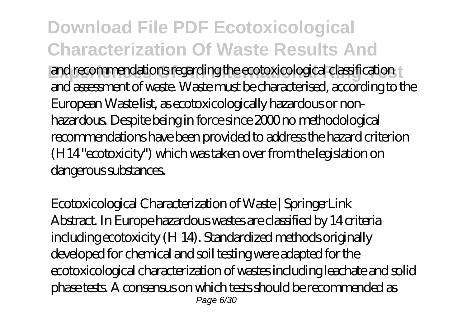**Experiences of An International Rightary Contracts** and recommendations regarding the ecotoxicological classification and assessment of waste. Waste must be characterised, according to the European Waste list, as ecotoxicologically hazardous or nonhazardous. Despite being in force since 2000 no methodological recommendations have been provided to address the hazard criterion (H14 "ecotoxicity") which was taken over from the legislation on dangerous substances.

*Ecotoxicological Characterization of Waste | SpringerLink* Abstract. In Europe hazardous wastes are classified by 14 criteria including ecotoxicity (H 14). Standardized methods originally developed for chemical and soil testing were adapted for the ecotoxicological characterization of wastes including leachate and solid phase tests. A consensus on which tests should be recommended as Page 6/30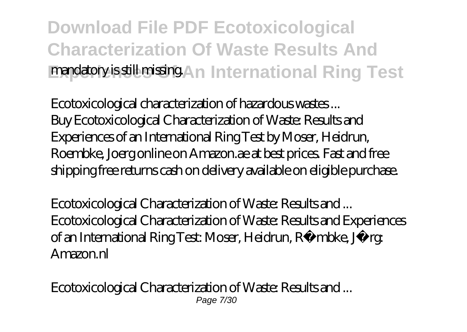### **Download File PDF Ecotoxicological Characterization Of Waste Results And Experience of An International Ring Test**

*Ecotoxicological characterization of hazardous wastes ...* Buy Ecotoxicological Characterization of Waste: Results and Experiences of an International Ring Test by Moser, Heidrun, Roembke, Joerg online on Amazon.ae at best prices. Fast and free shipping free returns cash on delivery available on eligible purchase.

*Ecotoxicological Characterization of Waste: Results and ...* Ecotoxicological Characterization of Waste: Results and Experiences of an International Ring Test: Moser, Heidrun, Römbke, Jörg: Amazon.nl

*Ecotoxicological Characterization of Waste: Results and ...* Page 7/30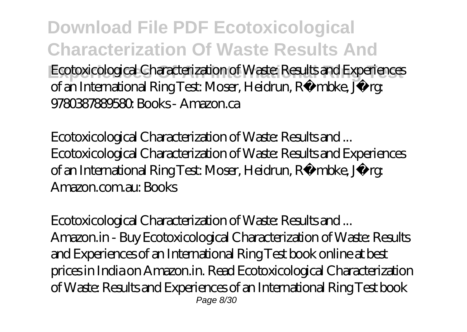**Download File PDF Ecotoxicological Characterization Of Waste Results And Ecotoxicological Characterization of Waste: Results and Experiences** of an International Ring Test: Moser, Heidrun, Römbke, Jörg: 9780387889580: Books - Amazon.ca

*Ecotoxicological Characterization of Waste: Results and ...* Ecotoxicological Characterization of Waste: Results and Experiences of an International Ring Test: Moser, Heidrun, Römbke, Jörg: Amazon.com.au: Books

*Ecotoxicological Characterization of Waste: Results and ...* Amazon.in - Buy Ecotoxicological Characterization of Waste: Results and Experiences of an International Ring Test book online at best prices in India on Amazon.in. Read Ecotoxicological Characterization of Waste: Results and Experiences of an International Ring Test book Page 8/30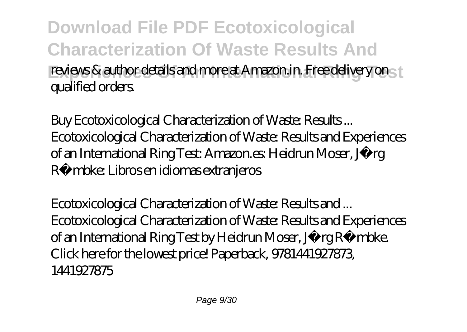**Download File PDF Ecotoxicological Characterization Of Waste Results And Freviews & author details and more at Amazon.in. Free delivery on the** qualified orders.

*Buy Ecotoxicological Characterization of Waste: Results ...* Ecotoxicological Characterization of Waste: Results and Experiences of an International Ring Test: Amazon.es: Heidrun Moser, Jörg Römbke: Libros en idiomas extranjeros

*Ecotoxicological Characterization of Waste: Results and ...* Ecotoxicological Characterization of Waste: Results and Experiences of an International Ring Test by Heidrun Moser, Jörg Römbke. Click here for the lowest price! Paperback, 9781441927873, 1441927875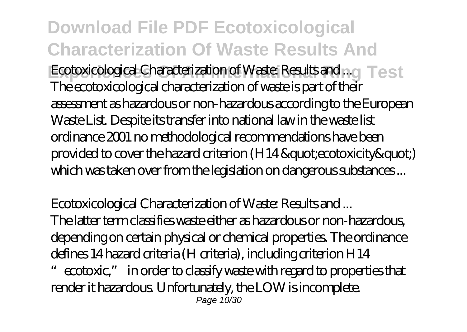**Download File PDF Ecotoxicological Characterization Of Waste Results And** Ecotoxicological Characterization of Waste: Results and .... **Test** The ecotoxicological characterization of waste is part of their assessment as hazardous or non-hazardous according to the European Waste List. Despite its transfer into national law in the waste list ordinance 2001 no methodological recommendations have been provided to cover the hazard criterion (H14 " ecotoxicity ") which was taken over from the legislation on dangerous substances ...

*Ecotoxicological Characterization of Waste: Results and ...*

The latter term classifies waste either as hazardous or non-hazardous, depending on certain physical or chemical properties. The ordinance defines 14 hazard criteria (H criteria), including criterion H14

ecotoxic," in order to classify waste with regard to properties that render it hazardous. Unfortunately, the LOW is incomplete. Page 10/30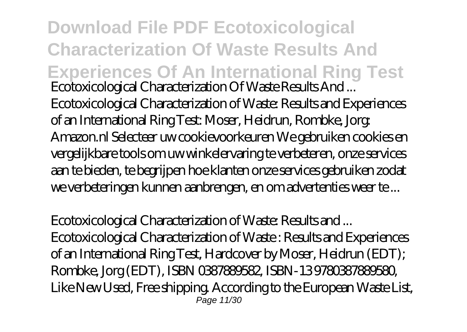**Download File PDF Ecotoxicological Characterization Of Waste Results And Experiences Of An International Ring Test** *Ecotoxicological Characterization Of Waste Results And ...* Ecotoxicological Characterization of Waste: Results and Experiences of an International Ring Test: Moser, Heidrun, Rombke, Jorg: Amazon.nl Selecteer uw cookievoorkeuren We gebruiken cookies en vergelijkbare tools om uw winkelervaring te verbeteren, onze services aan te bieden, te begrijpen hoe klanten onze services gebruiken zodat we verbeteringen kunnen aanbrengen, en om advertenties weer te ...

#### *Ecotoxicological Characterization of Waste: Results and ...*

Ecotoxicological Characterization of Waste : Results and Experiences of an International Ring Test, Hardcover by Moser, Heidrun (EDT); Rombke, Jorg (EDT), ISBN 0387889582, ISBN-13 9780387889580, Like New Used, Free shipping. According to the European Waste List, Page 11/30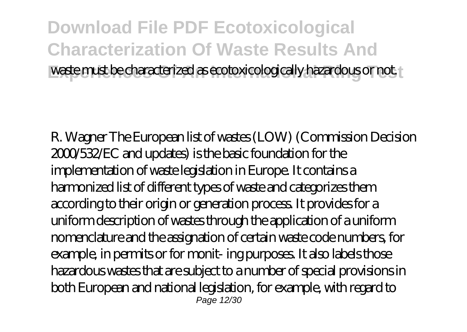#### **Download File PDF Ecotoxicological Characterization Of Waste Results And Exaste must be characterized as ecotoxicologically hazardous or not.**

R. Wagner The European list of wastes (LOW) (Commission Decision 2000/532/EC and updates) is the basic foundation for the implementation of waste legislation in Europe. It contains a harmonized list of different types of waste and categorizes them according to their origin or generation process. It provides for a uniform description of wastes through the application of a uniform nomenclature and the assignation of certain waste code numbers, for example, in permits or for monit- ing purposes. It also labels those hazardous wastes that are subject to a number of special provisions in both European and national legislation, for example, with regard to **Page 12/30**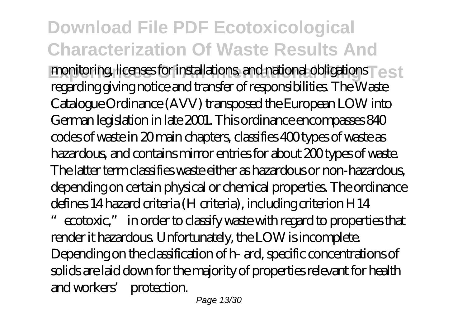**Experiences of an International Science of Test** regarding giving notice and transfer of responsibilities. The Waste Catalogue Ordinance (AVV) transposed the European LOW into German legislation in late 2001. This ordinance encompasses 840 codes of waste in 20 main chapters, classifies 400 types of waste as hazardous, and contains mirror entries for about 200 types of waste. The latter term classifies waste either as hazardous or non-hazardous, depending on certain physical or chemical properties. The ordinance defines 14 hazard criteria (H criteria), including criterion H14

ecotoxic," in order to classify waste with regard to properties that render it hazardous. Unfortunately, the LOW is incomplete. Depending on the classification of h- ard, specific concentrations of solids are laid down for the majority of properties relevant for health and workers' protection.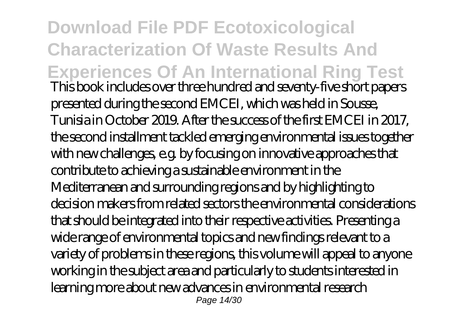**Download File PDF Ecotoxicological Characterization Of Waste Results And Experiences Of An International Ring Test** This book includes over three hundred and seventy-five short papers presented during the second EMCEI, which was held in Sousse, Tunisia in October 2019. After the success of the first EMCEI in 2017, the second installment tackled emerging environmental issues together with new challenges, e.g. by focusing on innovative approaches that contribute to achieving a sustainable environment in the Mediterranean and surrounding regions and by highlighting to decision makers from related sectors the environmental considerations that should be integrated into their respective activities. Presenting a wide range of environmental topics and new findings relevant to a variety of problems in these regions, this volume will appeal to anyone working in the subject area and particularly to students interested in learning more about new advances in environmental research Page 14/30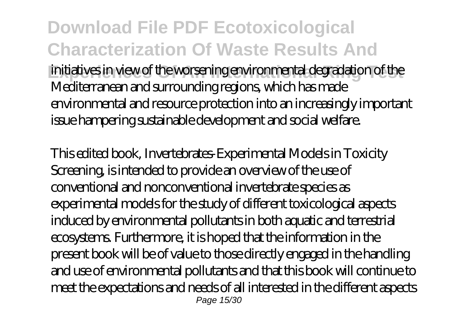**Download File PDF Ecotoxicological Characterization Of Waste Results And Experiences Of An International Ring Test** initiatives in view of the worsening environmental degradation of the Mediterranean and surrounding regions, which has made environmental and resource protection into an increasingly important issue hampering sustainable development and social welfare.

This edited book, Invertebrates-Experimental Models in Toxicity Screening, is intended to provide an overview of the use of conventional and nonconventional invertebrate species as experimental models for the study of different toxicological aspects induced by environmental pollutants in both aquatic and terrestrial ecosystems. Furthermore, it is hoped that the information in the present book will be of value to those directly engaged in the handling and use of environmental pollutants and that this book will continue to meet the expectations and needs of all interested in the different aspects Page 15/30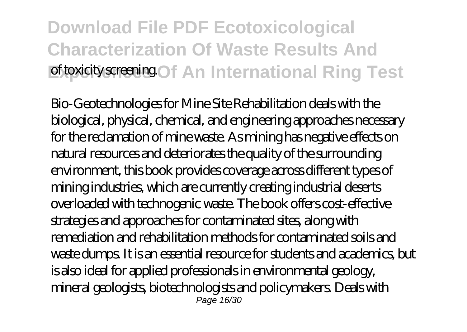### **Download File PDF Ecotoxicological Characterization Of Waste Results And Experience Set of An International Ring Test**

Bio-Geotechnologies for Mine Site Rehabilitation deals with the biological, physical, chemical, and engineering approaches necessary for the reclamation of mine waste. As mining has negative effects on natural resources and deteriorates the quality of the surrounding environment, this book provides coverage across different types of mining industries, which are currently creating industrial deserts overloaded with technogenic waste. The book offers cost-effective strategies and approaches for contaminated sites, along with remediation and rehabilitation methods for contaminated soils and waste dumps. It is an essential resource for students and academics, but is also ideal for applied professionals in environmental geology, mineral geologists, biotechnologists and policymakers. Deals with Page 16/30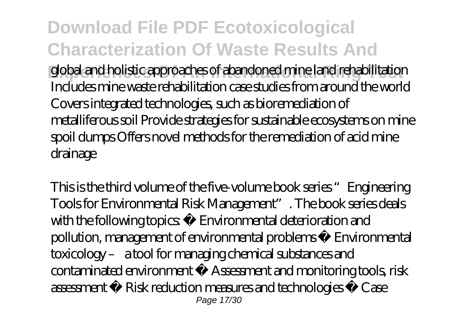**Download File PDF Ecotoxicological Characterization Of Waste Results And Experiences Of An International Ring Test** global and holistic approaches of abandoned mine land rehabilitation Includes mine waste rehabilitation case studies from around the world Covers integrated technologies, such as bioremediation of metalliferous soil Provide strategies for sustainable ecosystems on mine spoil dumps Offers novel methods for the remediation of acid mine drainage

This is the third volume of the five-volume book series "Engineering Tools for Environmental Risk Management". The book series deals with the following topics • Environmental deterioration and pollution, management of environmental problems • Environmental toxicology – a tool for managing chemical substances and contaminated environment • Assessment and monitoring tools, risk assessment • Risk reduction measures and technologies • Case Page 17/30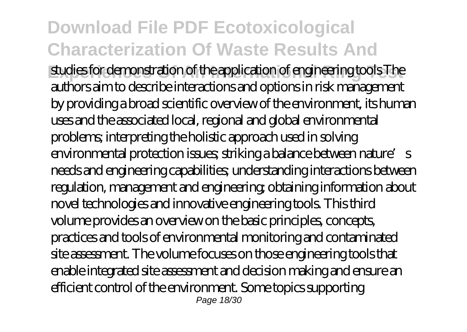**Experiences Of An International Ring Test** studies for demonstration of the application of engineering tools The authors aim to describe interactions and options in risk management by providing a broad scientific overview of the environment, its human uses and the associated local, regional and global environmental problems; interpreting the holistic approach used in solving environmental protection issues; striking a balance between nature's needs and engineering capabilities; understanding interactions between regulation, management and engineering; obtaining information about novel technologies and innovative engineering tools. This third volume provides an overview on the basic principles, concepts, practices and tools of environmental monitoring and contaminated site assessment. The volume focuses on those engineering tools that enable integrated site assessment and decision making and ensure an efficient control of the environment. Some topics supporting Page 18/30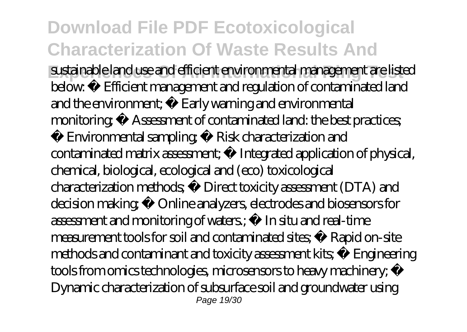**Experiences Of An International Ring Test** sustainable land use and efficient environmental management are listed below: • Efficient management and regulation of contaminated land and the environment; • Early warning and environmental monitoring: • Assessment of contaminated land: the best practices;

• Environmental sampling • Risk characterization and contaminated matrix assessment; • Integrated application of physical, chemical, biological, ecological and (eco) toxicological characterization methods; • Direct toxicity assessment (DTA) and decision making; • Online analyzers, electrodes and biosensors for assessment and monitoring of waters.; • In situ and real-time measurement tools for soil and contaminated sites; • Rapid on-site methods and contaminant and toxicity assessment kits; • Engineering tools from omics technologies, microsensors to heavy machinery; • Dynamic characterization of subsurface soil and groundwater using Page 19/30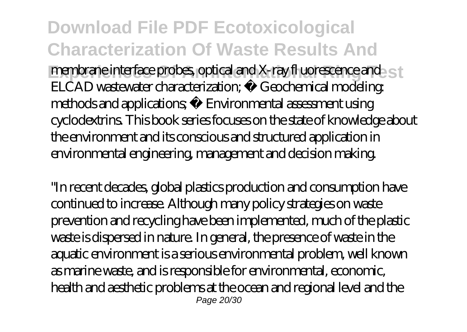**Download File PDF Ecotoxicological Characterization Of Waste Results And Experiments Interface probes, optical and X-ray fl uorescence and set membrane interface probes, optical and X-ray fl uorescence and set** ELCAD wastewater characterization; • Geochemical modeling: methods and applications • Environmental assessment using cyclodextrins. This book series focuses on the state of knowledge about the environment and its conscious and structured application in environmental engineering, management and decision making.

"In recent decades, global plastics production and consumption have continued to increase. Although many policy strategies on waste prevention and recycling have been implemented, much of the plastic waste is dispersed in nature. In general, the presence of waste in the aquatic environment is a serious environmental problem, well known as marine waste, and is responsible for environmental, economic, health and aesthetic problems at the ocean and regional level and the Page 20/30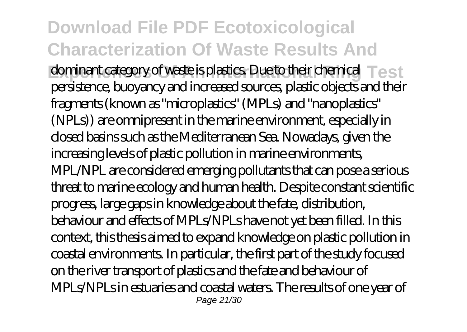**Experiment category of waste is plastics. Due to their chemical Test** persistence, buoyancy and increased sources, plastic objects and their fragments (known as "microplastics" (MPLs) and "nanoplastics" (NPLs)) are omnipresent in the marine environment, especially in closed basins such as the Mediterranean Sea. Nowadays, given the increasing levels of plastic pollution in marine environments, MPL/NPL are considered emerging pollutants that can pose a serious threat to marine ecology and human health. Despite constant scientific progress, large gaps in knowledge about the fate, distribution, behaviour and effects of MPLs/NPLs have not yet been filled. In this context, this thesis aimed to expand knowledge on plastic pollution in coastal environments. In particular, the first part of the study focused on the river transport of plastics and the fate and behaviour of MPLs/NPLs in estuaries and coastal waters. The results of one year of Page 21/30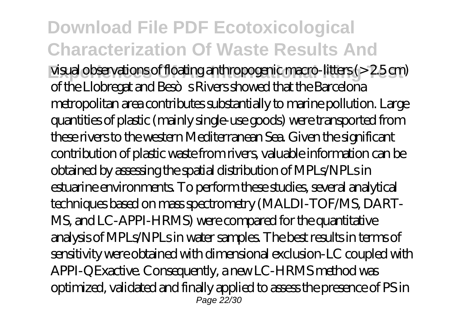**Fisual observations of floating anthropogenic macro-litters (> 2.5 cm)** of the Llobregat and Beso s Rivers showed that the Barcelona metropolitan area contributes substantially to marine pollution. Large quantities of plastic (mainly single-use goods) were transported from these rivers to the western Mediterranean Sea. Given the significant contribution of plastic waste from rivers, valuable information can be obtained by assessing the spatial distribution of MPLs/NPLs in estuarine environments. To perform these studies, several analytical techniques based on mass spectrometry (MALDI-TOF/MS, DART-MS, and LC-APPI-HRMS) were compared for the quantitative analysis of MPLs/NPLs in water samples. The best results in terms of sensitivity were obtained with dimensional exclusion-LC coupled with APPI-QExactive. Consequently, a new LC-HRMS method was optimized, validated and finally applied to assess the presence of PS in Page 22/30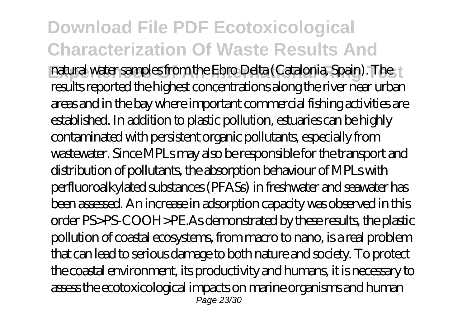**Experience International Ring International Ring International Spain). The Fig. 1** results reported the highest concentrations along the river near urban areas and in the bay where important commercial fishing activities are established. In addition to plastic pollution, estuaries can be highly contaminated with persistent organic pollutants, especially from wastewater. Since MPLs may also be responsible for the transport and distribution of pollutants, the absorption behaviour of MPLs with perfluoroalkylated substances (PFASs) in freshwater and seawater has been assessed. An increase in adsorption capacity was observed in this order PS>PS-COOH>PE.As demonstrated by these results, the plastic pollution of coastal ecosystems, from macro to nano, is a real problem that can lead to serious damage to both nature and society. To protect the coastal environment, its productivity and humans, it is necessary to assess the ecotoxicological impacts on marine organisms and human Page 23/30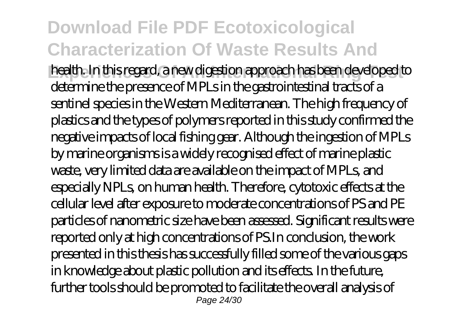**Experiences Of An International Ring Test** health. In this regard, a new digestion approach has been developed to determine the presence of MPLs in the gastrointestinal tracts of a sentinel species in the Western Mediterranean. The high frequency of plastics and the types of polymers reported in this study confirmed the negative impacts of local fishing gear. Although the ingestion of MPLs by marine organisms is a widely recognised effect of marine plastic waste, very limited data are available on the impact of MPLs, and especially NPLs, on human health. Therefore, cytotoxic effects at the cellular level after exposure to moderate concentrations of PS and PE particles of nanometric size have been assessed. Significant results were reported only at high concentrations of PS.In conclusion, the work presented in this thesis has successfully filled some of the various gaps in knowledge about plastic pollution and its effects. In the future, further tools should be promoted to facilitate the overall analysis of Page 24/30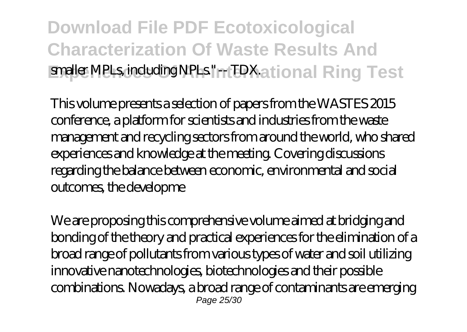### **Download File PDF Ecotoxicological Characterization Of Waste Results And Experience MPLs, including NPLs." -- TDX.ational Ring Test**

This volume presents a selection of papers from the WASTES 2015 conference, a platform for scientists and industries from the waste management and recycling sectors from around the world, who shared experiences and knowledge at the meeting. Covering discussions regarding the balance between economic, environmental and social outcomes, the developme

We are proposing this comprehensive volume aimed at bridging and bonding of the theory and practical experiences for the elimination of a broad range of pollutants from various types of water and soil utilizing innovative nanotechnologies, biotechnologies and their possible combinations. Nowadays, a broad range of contaminants are emerging Page 25/30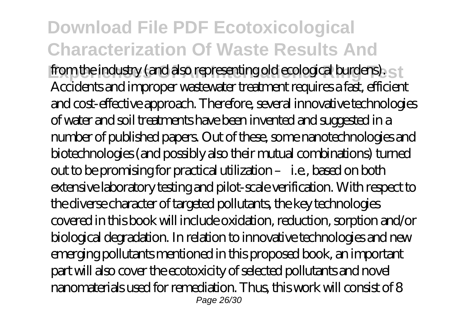from the industry (and also representing old ecological burdens). Accidents and improper wastewater treatment requires a fast, efficient and cost-effective approach. Therefore, several innovative technologies of water and soil treatments have been invented and suggested in a number of published papers. Out of these, some nanotechnologies and biotechnologies (and possibly also their mutual combinations) turned out to be promising for practical utilization – i.e., based on both extensive laboratory testing and pilot-scale verification. With respect to the diverse character of targeted pollutants, the key technologies covered in this book will include oxidation, reduction, sorption and/or biological degradation. In relation to innovative technologies and new emerging pollutants mentioned in this proposed book, an important part will also cover the ecotoxicity of selected pollutants and novel nanomaterials used for remediation. Thus, this work will consist of 8 Page 26/30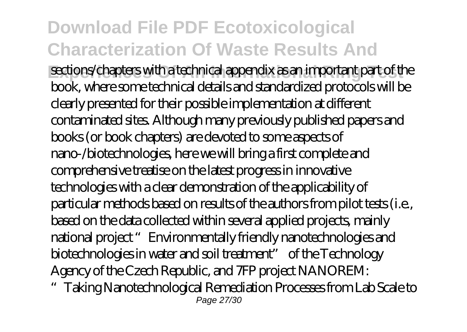**Experiences Of An International Ring Test** sections/chapters with a technical appendix as an important part of the book, where some technical details and standardized protocols will be clearly presented for their possible implementation at different contaminated sites. Although many previously published papers and books (or book chapters) are devoted to some aspects of nano-/biotechnologies, here we will bring a first complete and comprehensive treatise on the latest progress in innovative technologies with a clear demonstration of the applicability of particular methods based on results of the authors from pilot tests (i.e., based on the data collected within several applied projects, mainly national project "Environmentally friendly nanotechnologies and biotechnologies in water and soil treatment" of the Technology Agency of the Czech Republic, and 7FP project NANOREM:

"Taking Nanotechnological Remediation Processes from Lab Scale to Page 27/30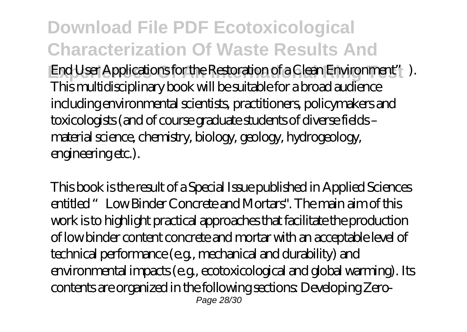**Download File PDF Ecotoxicological Characterization Of Waste Results And End User Applications for the Restoration of a Clean Environment"**). This multidisciplinary book will be suitable for a broad audience including environmental scientists, practitioners, policymakers and toxicologists (and of course graduate students of diverse fields – material science, chemistry, biology, geology, hydrogeology, engineering etc.).

This book is the result of a Special Issue published in Applied Sciences entitled "Low Binder Concrete and Mortars". The main aim of this work is to highlight practical approaches that facilitate the production of low binder content concrete and mortar with an acceptable level of technical performance (e.g., mechanical and durability) and environmental impacts (e.g., ecotoxicological and global warming). Its contents are organized in the following sections: Developing Zero-Page 28/30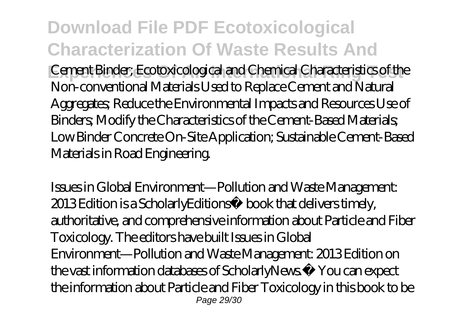**Download File PDF Ecotoxicological Characterization Of Waste Results And Experiences Of An International Ring Test** Cement Binder; Ecotoxicological and Chemical Characteristics of the Non-conventional Materials Used to Replace Cement and Natural Aggregates; Reduce the Environmental Impacts and Resources Use of Binders; Modify the Characteristics of the Cement-Based Materials; Low Binder Concrete On-Site Application; Sustainable Cement-Based Materials in Road Engineering.

Issues in Global Environment—Pollution and Waste Management: 2013 Edition is a ScholarlyEditions™ book that delivers timely, authoritative, and comprehensive information about Particle and Fiber Toxicology. The editors have built Issues in Global Environment—Pollution and Waste Management: 2013 Edition on the vast information databases of ScholarlyNews.™ You can expect the information about Particle and Fiber Toxicology in this book to be Page 29/30